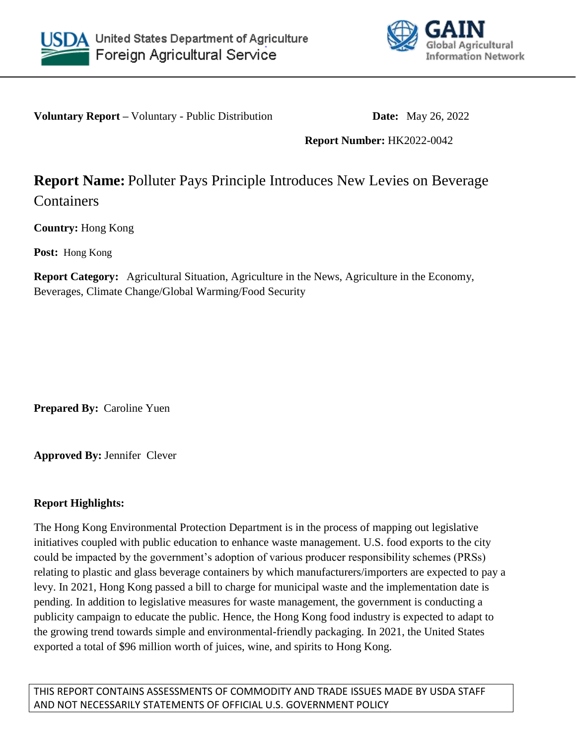



**Voluntary Report** – Voluntary - Public Distribution **Date:** May 26, 2022

# **Report Number:** HK2022-0042

# **Report Name:** Polluter Pays Principle Introduces New Levies on Beverage

**Containers** 

**Country:** Hong Kong

**Post:** Hong Kong

**Report Category:** Agricultural Situation, Agriculture in the News, Agriculture in the Economy, Beverages, Climate Change/Global Warming/Food Security

**Prepared By:** Caroline Yuen

**Approved By:** Jennifer Clever

# **Report Highlights:**

The Hong Kong Environmental Protection Department is in the process of mapping out legislative initiatives coupled with public education to enhance waste management. U.S. food exports to the city could be impacted by the government's adoption of various producer responsibility schemes (PRSs) relating to plastic and glass beverage containers by which manufacturers/importers are expected to pay a levy. In 2021, Hong Kong passed a bill to charge for municipal waste and the implementation date is pending. In addition to legislative measures for waste management, the government is conducting a publicity campaign to educate the public. Hence, the Hong Kong food industry is expected to adapt to the growing trend towards simple and environmental-friendly packaging. In 2021, the United States exported a total of \$96 million worth of juices, wine, and spirits to Hong Kong.

THIS REPORT CONTAINS ASSESSMENTS OF COMMODITY AND TRADE ISSUES MADE BY USDA STAFF AND NOT NECESSARILY STATEMENTS OF OFFICIAL U.S. GOVERNMENT POLICY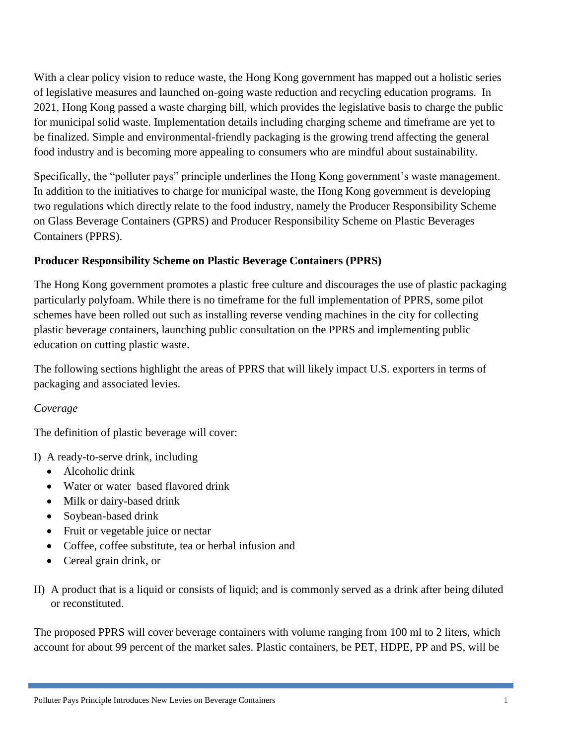With a clear policy vision to reduce waste, the Hong Kong government has mapped out a holistic series of legislative measures and launched on-going waste reduction and recycling education programs. In 2021, Hong Kong passed a waste charging bill, which provides the legislative basis to charge the public for municipal solid waste. Implementation details including charging scheme and timeframe are yet to be finalized. Simple and environmental-friendly packaging is the growing trend affecting the general food industry and is becoming more appealing to consumers who are mindful about sustainability.

Specifically, the "polluter pays" principle underlines the Hong Kong government's waste management. In addition to the initiatives to charge for municipal waste, the Hong Kong government is developing two regulations which directly relate to the food industry, namely the Producer Responsibility Scheme on Glass Beverage Containers (GPRS) and Producer Responsibility Scheme on Plastic Beverages Containers (PPRS).

# **Producer Responsibility Scheme on Plastic Beverage Containers (PPRS)**

The Hong Kong government promotes a plastic free culture and discourages the use of plastic packaging particularly polyfoam. While there is no timeframe for the full implementation of PPRS, some pilot schemes have been rolled out such as installing reverse vending machines in the city for collecting plastic beverage containers, launching public consultation on the PPRS and implementing public education on cutting plastic waste.

The following sections highlight the areas of PPRS that will likely impact U.S. exporters in terms of packaging and associated levies.

# *Coverage*

The definition of plastic beverage will cover:

I) A ready-to-serve drink, including

- Alcoholic drink
- Water or water–based flavored drink
- Milk or dairy-based drink
- Soybean-based drink
- Fruit or vegetable juice or nectar
- Coffee, coffee substitute, tea or herbal infusion and
- Cereal grain drink, or
- II) A product that is a liquid or consists of liquid; and is commonly served as a drink after being diluted or reconstituted.

The proposed PPRS will cover beverage containers with volume ranging from 100 ml to 2 liters, which account for about 99 percent of the market sales. Plastic containers, be PET, HDPE, PP and PS, will be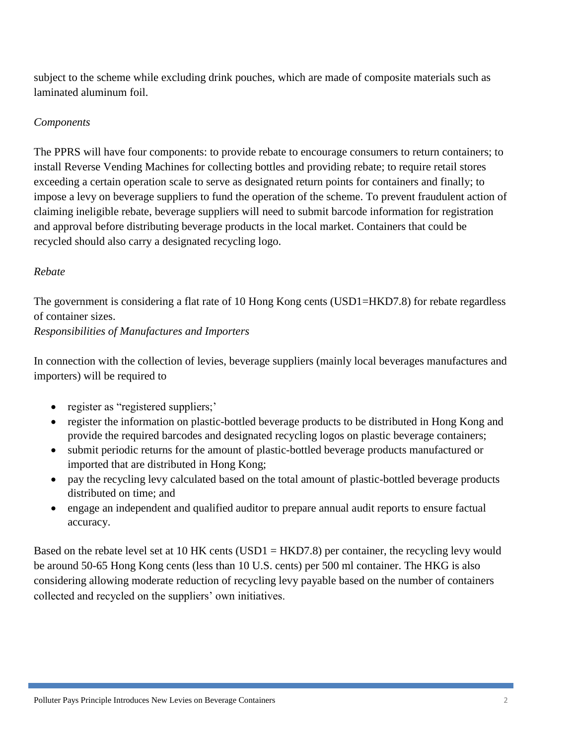subject to the scheme while excluding drink pouches, which are made of composite materials such as laminated aluminum foil.

#### *Components*

The PPRS will have four components: to provide rebate to encourage consumers to return containers; to install Reverse Vending Machines for collecting bottles and providing rebate; to require retail stores exceeding a certain operation scale to serve as designated return points for containers and finally; to impose a levy on beverage suppliers to fund the operation of the scheme. To prevent fraudulent action of claiming ineligible rebate, beverage suppliers will need to submit barcode information for registration and approval before distributing beverage products in the local market. Containers that could be recycled should also carry a designated recycling logo.

#### *Rebate*

The government is considering a flat rate of 10 Hong Kong cents (USD1=HKD7.8) for rebate regardless of container sizes.

*Responsibilities of Manufactures and Importers*

In connection with the collection of levies, beverage suppliers (mainly local beverages manufactures and importers) will be required to

- register as "registered suppliers;"
- register the information on plastic-bottled beverage products to be distributed in Hong Kong and provide the required barcodes and designated recycling logos on plastic beverage containers;
- submit periodic returns for the amount of plastic-bottled beverage products manufactured or imported that are distributed in Hong Kong;
- pay the recycling levy calculated based on the total amount of plastic-bottled beverage products distributed on time; and
- engage an independent and qualified auditor to prepare annual audit reports to ensure factual accuracy.

Based on the rebate level set at 10 HK cents (USD1 = HKD7.8) per container, the recycling levy would be around 50-65 Hong Kong cents (less than 10 U.S. cents) per 500 ml container. The HKG is also considering allowing moderate reduction of recycling levy payable based on the number of containers collected and recycled on the suppliers' own initiatives.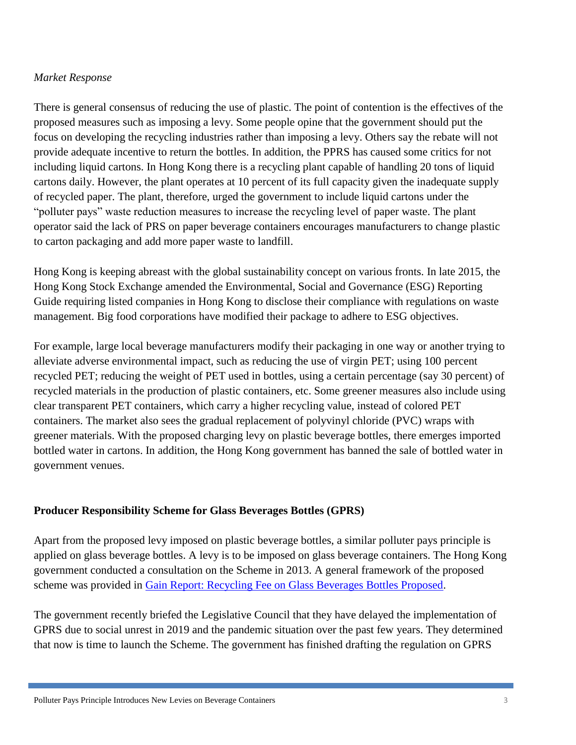# *Market Response*

There is general consensus of reducing the use of plastic. The point of contention is the effectives of the proposed measures such as imposing a levy. Some people opine that the government should put the focus on developing the recycling industries rather than imposing a levy. Others say the rebate will not provide adequate incentive to return the bottles. In addition, the PPRS has caused some critics for not including liquid cartons. In Hong Kong there is a recycling plant capable of handling 20 tons of liquid cartons daily. However, the plant operates at 10 percent of its full capacity given the inadequate supply of recycled paper. The plant, therefore, urged the government to include liquid cartons under the "polluter pays" waste reduction measures to increase the recycling level of paper waste. The plant operator said the lack of PRS on paper beverage containers encourages manufacturers to change plastic to carton packaging and add more paper waste to landfill.

Hong Kong is keeping abreast with the global sustainability concept on various fronts. In late 2015, the Hong Kong Stock Exchange amended the Environmental, Social and Governance (ESG) Reporting Guide requiring listed companies in Hong Kong to disclose their compliance with regulations on waste management. Big food corporations have modified their package to adhere to ESG objectives.

For example, large local beverage manufacturers modify their packaging in one way or another trying to alleviate adverse environmental impact, such as reducing the use of virgin PET; using 100 percent recycled PET; reducing the weight of PET used in bottles, using a certain percentage (say 30 percent) of recycled materials in the production of plastic containers, etc. Some greener measures also include using clear transparent PET containers, which carry a higher recycling value, instead of colored PET containers. The market also sees the gradual replacement of polyvinyl chloride (PVC) wraps with greener materials. With the proposed charging levy on plastic beverage bottles, there emerges imported bottled water in cartons. In addition, the Hong Kong government has banned the sale of bottled water in government venues.

# **Producer Responsibility Scheme for Glass Beverages Bottles (GPRS)**

Apart from the proposed levy imposed on plastic beverage bottles, a similar polluter pays principle is applied on glass beverage bottles. A levy is to be imposed on glass beverage containers. The Hong Kong government conducted a consultation on the Scheme in 2013. A general framework of the proposed scheme was provided in [Gain Report: Recycling Fee on Glass Beverages Bottles Proposed.](https://gain.fas.usda.gov/#/)

The government recently briefed the Legislative Council that they have delayed the implementation of GPRS due to social unrest in 2019 and the pandemic situation over the past few years. They determined that now is time to launch the Scheme. The government has finished drafting the regulation on GPRS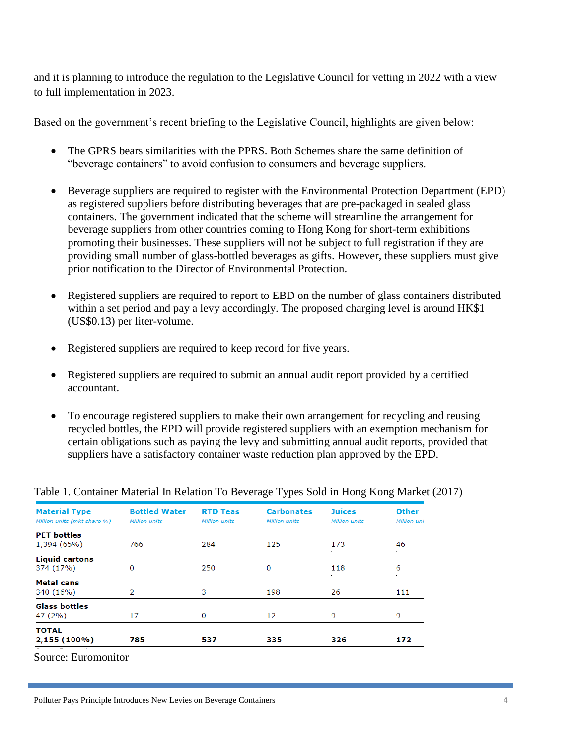and it is planning to introduce the regulation to the Legislative Council for vetting in 2022 with a view to full implementation in 2023.

Based on the government's recent briefing to the Legislative Council, highlights are given below:

- The GPRS bears similarities with the PPRS. Both Schemes share the same definition of "beverage containers" to avoid confusion to consumers and beverage suppliers.
- Beverage suppliers are required to register with the Environmental Protection Department (EPD) as registered suppliers before distributing beverages that are pre-packaged in sealed glass containers. The government indicated that the scheme will streamline the arrangement for beverage suppliers from other countries coming to Hong Kong for short-term exhibitions promoting their businesses. These suppliers will not be subject to full registration if they are providing small number of glass-bottled beverages as gifts. However, these suppliers must give prior notification to the Director of Environmental Protection.
- Registered suppliers are required to report to EBD on the number of glass containers distributed within a set period and pay a levy accordingly. The proposed charging level is around HK\$1 (US\$0.13) per liter-volume.
- Registered suppliers are required to keep record for five years.
- Registered suppliers are required to submit an annual audit report provided by a certified accountant.
- To encourage registered suppliers to make their own arrangement for recycling and reusing recycled bottles, the EPD will provide registered suppliers with an exemption mechanism for certain obligations such as paying the levy and submitting annual audit reports, provided that suppliers have a satisfactory container waste reduction plan approved by the EPD.

| <b>Material Type</b><br>Million units (mkt share %) | <b>Bottled Water</b><br><b>Million</b> units | <b>RTD Teas</b><br><b>Million units</b> | <b>Carbonates</b><br><b>Million units</b> | <b>Juices</b><br><b>Million units</b> | Other<br>Million uni |
|-----------------------------------------------------|----------------------------------------------|-----------------------------------------|-------------------------------------------|---------------------------------------|----------------------|
| <b>PET bottles</b><br>1,394 (65%)                   | 766                                          | 284                                     | 125                                       | 173                                   | 46                   |
| <b>Liquid cartons</b><br>374 (17%)                  | $\bf{0}$                                     | 250                                     | 0                                         | 118                                   | 6                    |
| <b>Metal</b> cans<br>340 (16%)                      | 2                                            | 3                                       | 198                                       | 26                                    | 111                  |
| <b>Glass bottles</b><br>47 (2%)                     | 17                                           | $\Omega$                                | 12                                        | 9                                     | 9                    |
| <b>TOTAL</b><br>$2,155(100\%)$                      | 785                                          | 537                                     | 335                                       | 326                                   | 172                  |

#### Table 1. Container Material In Relation To Beverage Types Sold in Hong Kong Market (2017)

Source: Euromonitor